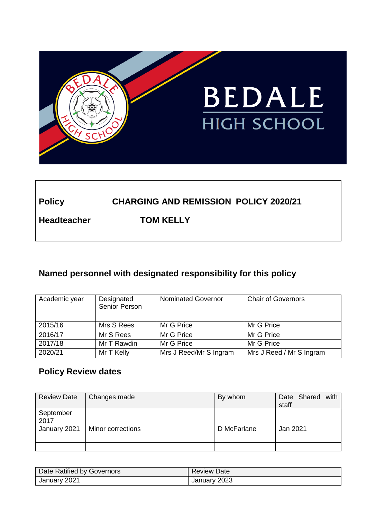

# **Policy CHARGING AND REMISSION POLICY 2020/21**

**Headteacher TOM KELLY**

## **Named personnel with designated responsibility for this policy**

| Academic year | Designated<br>Senior Person | <b>Nominated Governor</b> | <b>Chair of Governors</b> |
|---------------|-----------------------------|---------------------------|---------------------------|
| 2015/16       | Mrs S Rees                  | Mr G Price                | Mr G Price                |
| 2016/17       | Mr S Rees                   | Mr G Price                | Mr G Price                |
| 2017/18       | Mr T Rawdin                 | Mr G Price                | Mr G Price                |
| 2020/21       | Mr T Kelly                  | Mrs J Reed/Mr S Ingram    | Mrs J Reed / Mr S Ingram  |

## **Policy Review dates**

| <b>Review Date</b> | Changes made      | By whom     | Date Shared with<br>staff |
|--------------------|-------------------|-------------|---------------------------|
| September<br>2017  |                   |             |                           |
| January 2021       | Minor corrections | D McFarlane | Jan 2021                  |
|                    |                   |             |                           |
|                    |                   |             |                           |

| Date Ratified by Governors | <b>Review Date</b> |
|----------------------------|--------------------|
| January 2021               | January 2023       |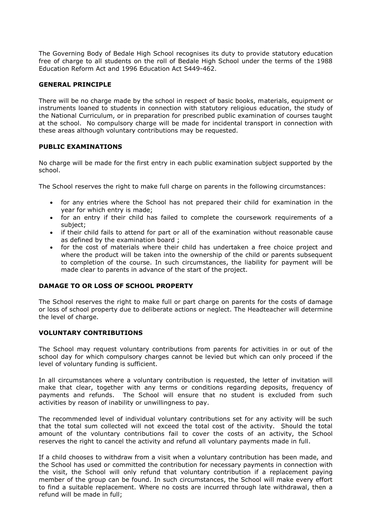The Governing Body of Bedale High School recognises its duty to provide statutory education free of charge to all students on the roll of Bedale High School under the terms of the 1988 Education Reform Act and 1996 Education Act S449-462.

### **GENERAL PRINCIPLE**

There will be no charge made by the school in respect of basic books, materials, equipment or instruments loaned to students in connection with statutory religious education, the study of the National Curriculum, or in preparation for prescribed public examination of courses taught at the school. No compulsory charge will be made for incidental transport in connection with these areas although voluntary contributions may be requested.

## **PUBLIC EXAMINATIONS**

No charge will be made for the first entry in each public examination subject supported by the school.

The School reserves the right to make full charge on parents in the following circumstances:

- for any entries where the School has not prepared their child for examination in the year for which entry is made;
- for an entry if their child has failed to complete the coursework requirements of a subject;
- if their child fails to attend for part or all of the examination without reasonable cause as defined by the examination board ;
- for the cost of materials where their child has undertaken a free choice project and where the product will be taken into the ownership of the child or parents subsequent to completion of the course. In such circumstances, the liability for payment will be made clear to parents in advance of the start of the project.

#### **DAMAGE TO OR LOSS OF SCHOOL PROPERTY**

The School reserves the right to make full or part charge on parents for the costs of damage or loss of school property due to deliberate actions or neglect. The Headteacher will determine the level of charge.

## **VOLUNTARY CONTRIBUTIONS**

The School may request voluntary contributions from parents for activities in or out of the school day for which compulsory charges cannot be levied but which can only proceed if the level of voluntary funding is sufficient.

In all circumstances where a voluntary contribution is requested, the letter of invitation will make that clear, together with any terms or conditions regarding deposits, frequency of payments and refunds. The School will ensure that no student is excluded from such activities by reason of inability or unwillingness to pay.

The recommended level of individual voluntary contributions set for any activity will be such that the total sum collected will not exceed the total cost of the activity. Should the total amount of the voluntary contributions fail to cover the costs of an activity, the School reserves the right to cancel the activity and refund all voluntary payments made in full.

If a child chooses to withdraw from a visit when a voluntary contribution has been made, and the School has used or committed the contribution for necessary payments in connection with the visit, the School will only refund that voluntary contribution if a replacement paying member of the group can be found. In such circumstances, the School will make every effort to find a suitable replacement. Where no costs are incurred through late withdrawal, then a refund will be made in full;